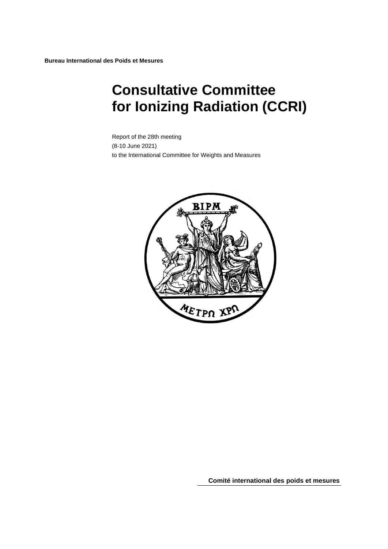# **Consultative Committee for Ionizing Radiation (CCRI)**

Report of the 28th meeting (8-10 June 2021) to the International Committee for Weights and Measures



**Comité international des poids et mesures**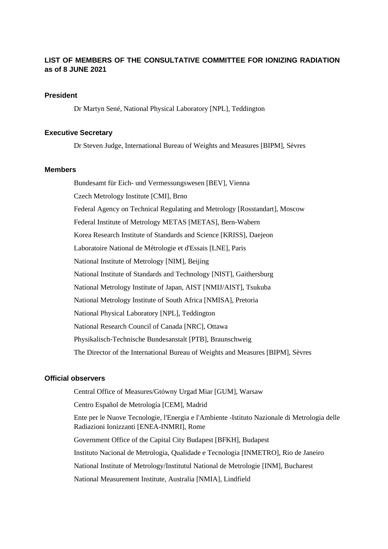#### **LIST OF MEMBERS OF THE CONSULTATIVE COMMITTEE FOR IONIZING RADIATION as of 8 JUNE 2021**

#### **President**

Dr Martyn Sené, National Physical Laboratory [NPL], Teddington

#### **Executive Secretary**

Dr Steven Judge, International Bureau of Weights and Measures [BIPM], Sèvres

#### **Members**

Bundesamt für Eich- und Vermessungswesen [BEV], Vienna Czech Metrology Institute [CMI], Brno Federal Agency on Technical Regulating and Metrology [\[Rosstandart\]](http://www.gost.ru/), Moscow Federal Institute of Metrology METAS [METAS], Bern-Wabern Korea Research Institute of Standards and Science [KRISS], Daejeon Laboratoire National de Métrologie et d'Essais [LNE], Paris National Institute of Metrology [NIM], Beijing National Institute of Standards and Technology [NIST], Gaithersburg National Metrology Institute of Japan, AIST [NMIJ/AIST], Tsukuba National Metrology Institute of South Africa [NMISA], Pretoria National Physical Laboratory [NPL], Teddington National Research Council of Canada [NRC], Ottawa Physikalisch-Technische Bundesanstalt [PTB], Braunschweig The Director of the International Bureau of Weights and Measures [BIPM], Sèvres

#### **Official observers**

Central Office of Measures/Gtówny Urgad Miar [GUM], Warsaw

Centro Español de Metrología [CEM], Madrid

Ente per le Nuove Tecnologie, l'Energia e l'Ambiente -Istituto Nazionale di Metrologia delle Radiazioni Ionizzanti [ENEA-INMRI], Rome

Government Office of the Capital City Budapest [BFKH], Budapest Instituto Nacional de Metrologia, Qualidade e Tecnologia [INMETRO], Rio de Janeiro National Institute of Metrology/Institutul National de Metrologie [INM], Bucharest National Measurement Institute, Australia [NMIA], Lindfield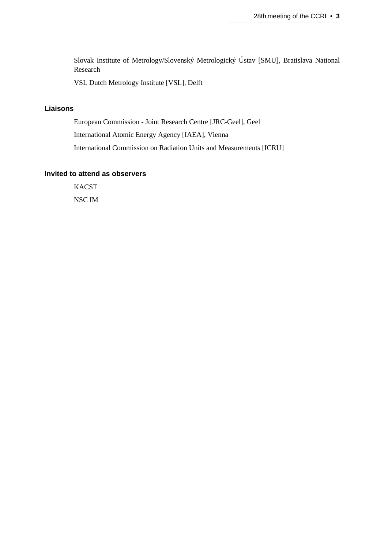Slovak Institute of Metrology/Slovenský Metrologický Ústav [SMU], Bratislava National Research

VSL Dutch Metrology Institute [VSL], Delft

#### **Liaisons**

European Commission - Joint Research Centre [\[JRC-Geel\]](https://ec.europa.eu/jrc/en), Geel International Atomic Energy Agency [IAEA], Vienna International Commission on Radiation Units and Measurements [ICRU]

#### **Invited to attend as observers**

**KACST** NSC IM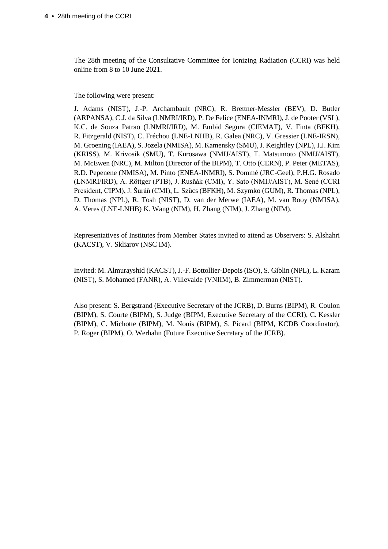The 28th meeting of the Consultative Committee for Ionizing Radiation (CCRI) was held online from 8 to 10 June 2021.

The following were present:

J. Adams (NIST), J.-P. Archambault (NRC), R. Brettner-Messler (BEV), D. Butler (ARPANSA), C.J. da Silva (LNMRI/IRD), P. De Felice (ENEA-INMRI), J. de Pooter (VSL), K.C. de Souza Patrao (LNMRI/IRD), M. Embid Segura (CIEMAT), V. Finta (BFKH), R. Fitzgerald (NIST), C. Fréchou (LNE-LNHB), R. Galea (NRC), V. Gressier (LNE-IRSN), M. Groening (IAEA), S. Jozela (NMISA), M. Kamensky (SMU), J. Keightley (NPL), I.J. Kim (KRISS), M. Krivosik (SMU), T. Kurosawa (NMIJ/AIST), T. Matsumoto (NMIJ/AIST), M. McEwen (NRC), M. Milton (Director of the BIPM), T. Otto (CERN), P. Peier (METAS), R.D. Pepenene (NMISA), M. Pinto (ENEA-INMRI), S. Pommé (JRC-Geel), P.H.G. Rosado (LNMRI/IRD), A. Röttger (PTB), J. Rusňák (CMI), Y. Sato (NMIJ/AIST), M. Sené (CCRI President, CIPM), J. Šuráň (CMI), L. Szücs (BFKH), M. Szymko (GUM), R. Thomas (NPL), D. Thomas (NPL), R. Tosh (NIST), D. van der Merwe (IAEA), M. van Rooy (NMISA), A. Veres (LNE-LNHB) K. Wang (NIM), H. Zhang (NIM), J. Zhang (NIM).

Representatives of Institutes from Member States invited to attend as Observers: S. Alshahri (KACST), V. Skliarov (NSC IM).

Invited: M. Almurayshid (KACST), J.-F. Bottollier-Depois (ISO), S. Giblin (NPL), L. Karam (NIST), S. Mohamed (FANR), A. Villevalde (VNIIM), B. Zimmerman (NIST).

Also present: S. Bergstrand (Executive Secretary of the JCRB), D. Burns (BIPM), R. Coulon (BIPM), S. Courte (BIPM), S. Judge (BIPM, Executive Secretary of the CCRI), C. Kessler (BIPM), C. Michotte (BIPM), M. Nonis (BIPM), S. Picard (BIPM, KCDB Coordinator), P. Roger (BIPM), O. Werhahn (Future Executive Secretary of the JCRB).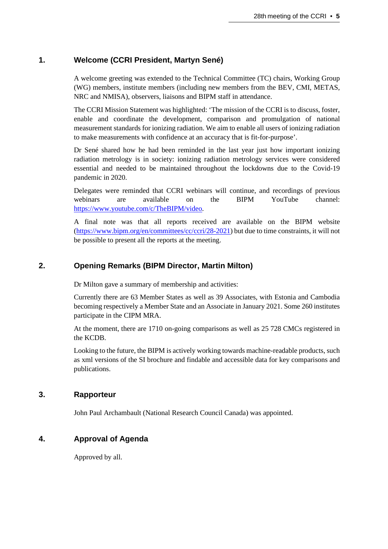## **1. Welcome (CCRI President, Martyn Sené)**

A welcome greeting was extended to the Technical Committee (TC) chairs, Working Group (WG) members, institute members (including new members from the BEV, CMI, METAS, NRC and NMISA), observers, liaisons and BIPM staff in attendance.

The CCRI Mission Statement was highlighted: 'The mission of the CCRI is to discuss, foster, enable and coordinate the development, comparison and promulgation of national measurement standards for ionizing radiation. We aim to enable all users of ionizing radiation to make measurements with confidence at an accuracy that is fit-for-purpose'.

Dr Sené shared how he had been reminded in the last year just how important ionizing radiation metrology is in society: ionizing radiation metrology services were considered essential and needed to be maintained throughout the lockdowns due to the Covid-19 pandemic in 2020.

Delegates were reminded that CCRI webinars will continue, and recordings of previous webinars are available on the BIPM YouTube channel: [https://www.youtube.com/c/TheBIPM/video.](https://www.youtube.com/c/TheBIPM/video)

A final note was that all reports received are available on the BIPM website [\(https://www.bipm.org/en/committees/cc/ccri/28-2021\)](https://www.bipm.org/en/committees/cc/ccri/28-2021) but due to time constraints, it will not be possible to present all the reports at the meeting.

# **2. Opening Remarks (BIPM Director, Martin Milton)**

Dr Milton gave a summary of membership and activities:

Currently there are 63 Member States as well as 39 Associates, with Estonia and Cambodia becoming respectively a Member State and an Associate in January 2021. Some 260 institutes participate in the CIPM MRA.

At the moment, there are 1710 on-going comparisons as well as 25 728 CMCs registered in the KCDB.

Looking to the future, the BIPM is actively working towards machine-readable products, such as xml versions of the SI brochure and findable and accessible data for key comparisons and publications.

## **3. Rapporteur**

John Paul Archambault (National Research Council Canada) was appointed.

## **4. Approval of Agenda**

Approved by all.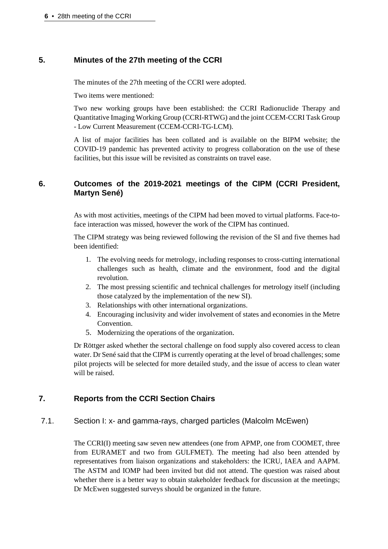# **5. Minutes of the 27th meeting of the CCRI**

The minutes of the 27th meeting of the CCRI were adopted.

Two items were mentioned:

Two new working groups have been established: the CCRI Radionuclide Therapy and Quantitative Imaging Working Group (CCRI-RTWG) and the joint CCEM-CCRI Task Group - Low Current Measurement (CCEM-CCRI-TG-LCM).

A list of major facilities has been collated and is available on the BIPM website; the COVID-19 pandemic has prevented activity to progress collaboration on the use of these facilities, but this issue will be revisited as constraints on travel ease.

# **6. Outcomes of the 2019-2021 meetings of the CIPM (CCRI President, Martyn Sené)**

As with most activities, meetings of the CIPM had been moved to virtual platforms. Face-toface interaction was missed, however the work of the CIPM has continued.

The CIPM strategy was being reviewed following the revision of the SI and five themes had been identified:

- 1. The evolving needs for metrology, including responses to cross-cutting international challenges such as health, climate and the environment, food and the digital revolution.
- 2. The most pressing scientific and technical challenges for metrology itself (including those catalyzed by the implementation of the new SI).
- 3. Relationships with other international organizations.
- 4. Encouraging inclusivity and wider involvement of states and economies in the Metre Convention.
- 5. Modernizing the operations of the organization.

Dr Röttger asked whether the sectoral challenge on food supply also covered access to clean water. Dr Sené said that the CIPM is currently operating at the level of broad challenges; some pilot projects will be selected for more detailed study, and the issue of access to clean water will be raised.

# **7. Reports from the CCRI Section Chairs**

# 7.1. Section I: x- and gamma-rays, charged particles (Malcolm McEwen)

The CCRI(I) meeting saw seven new attendees (one from APMP, one from COOMET, three from EURAMET and two from GULFMET). The meeting had also been attended by representatives from liaison organizations and stakeholders: the ICRU, IAEA and AAPM. The ASTM and IOMP had been invited but did not attend. The question was raised about whether there is a better way to obtain stakeholder feedback for discussion at the meetings; Dr McEwen suggested surveys should be organized in the future.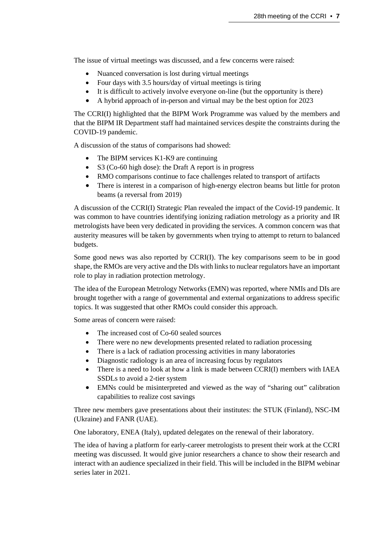The issue of virtual meetings was discussed, and a few concerns were raised:

- Nuanced conversation is lost during virtual meetings
- Four days with 3.5 hours/day of virtual meetings is tiring
- It is difficult to actively involve everyone on-line (but the opportunity is there)
- A hybrid approach of in-person and virtual may be the best option for 2023

The CCRI(I) highlighted that the BIPM Work Programme was valued by the members and that the BIPM IR Department staff had maintained services despite the constraints during the COVID-19 pandemic.

A discussion of the status of comparisons had showed:

- The BIPM services K1-K9 are continuing
- S3 (Co-60 high dose): the Draft A report is in progress
- RMO comparisons continue to face challenges related to transport of artifacts
- There is interest in a comparison of high-energy electron beams but little for proton beams (a reversal from 2019)

A discussion of the CCRI(I) Strategic Plan revealed the impact of the Covid-19 pandemic. It was common to have countries identifying ionizing radiation metrology as a priority and IR metrologists have been very dedicated in providing the services. A common concern was that austerity measures will be taken by governments when trying to attempt to return to balanced budgets.

Some good news was also reported by CCRI(I). The key comparisons seem to be in good shape, the RMOs are very active and the DIs with links to nuclear regulators have an important role to play in radiation protection metrology.

The idea of the European Metrology Networks (EMN) was reported, where NMIs and DIs are brought together with a range of governmental and external organizations to address specific topics. It was suggested that other RMOs could consider this approach.

Some areas of concern were raised:

- The increased cost of Co-60 sealed sources
- There were no new developments presented related to radiation processing
- There is a lack of radiation processing activities in many laboratories
- Diagnostic radiology is an area of increasing focus by regulators
- There is a need to look at how a link is made between CCRI(I) members with IAEA SSDLs to avoid a 2-tier system
- EMNs could be misinterpreted and viewed as the way of "sharing out" calibration capabilities to realize cost savings

Three new members gave presentations about their institutes: the STUK (Finland), NSC-IM (Ukraine) and FANR (UAE).

One laboratory, ENEA (Italy), updated delegates on the renewal of their laboratory.

The idea of having a platform for early-career metrologists to present their work at the CCRI meeting was discussed. It would give junior researchers a chance to show their research and interact with an audience specialized in their field. This will be included in the BIPM webinar series later in 2021.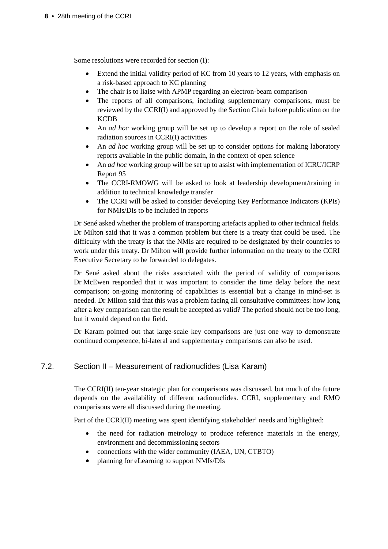Some resolutions were recorded for section (I):

- Extend the initial validity period of KC from 10 years to 12 years, with emphasis on a risk-based approach to KC planning
- The chair is to liaise with APMP regarding an electron-beam comparison
- The reports of all comparisons, including supplementary comparisons, must be reviewed by the CCRI(I) and approved by the Section Chair before publication on the KCDB
- An *ad hoc* working group will be set up to develop a report on the role of sealed radiation sources in CCRI(I) activities
- An *ad hoc* working group will be set up to consider options for making laboratory reports available in the public domain, in the context of open science
- An *ad hoc* working group will be set up to assist with implementation of ICRU/ICRP Report 95
- The CCRI-RMOWG will be asked to look at leadership development/training in addition to technical knowledge transfer
- The CCRI will be asked to consider developing Key Performance Indicators (KPIs) for NMIs/DIs to be included in reports

Dr Sené asked whether the problem of transporting artefacts applied to other technical fields. Dr Milton said that it was a common problem but there is a treaty that could be used. The difficulty with the treaty is that the NMIs are required to be designated by their countries to work under this treaty. Dr Milton will provide further information on the treaty to the CCRI Executive Secretary to be forwarded to delegates.

Dr Sené asked about the risks associated with the period of validity of comparisons Dr McEwen responded that it was important to consider the time delay before the next comparison; on-going monitoring of capabilities is essential but a change in mind-set is needed. Dr Milton said that this was a problem facing all consultative committees: how long after a key comparison can the result be accepted as valid? The period should not be too long, but it would depend on the field.

Dr Karam pointed out that large-scale key comparisons are just one way to demonstrate continued competence, bi-lateral and supplementary comparisons can also be used.

## 7.2. Section II – Measurement of radionuclides (Lisa Karam)

The CCRI(II) ten-year strategic plan for comparisons was discussed, but much of the future depends on the availability of different radionuclides. CCRI, supplementary and RMO comparisons were all discussed during the meeting.

Part of the CCRI(II) meeting was spent identifying stakeholder' needs and highlighted:

- the need for radiation metrology to produce reference materials in the energy, environment and decommissioning sectors
- connections with the wider community (IAEA, UN, CTBTO)
- planning for eLearning to support NMIs/DIs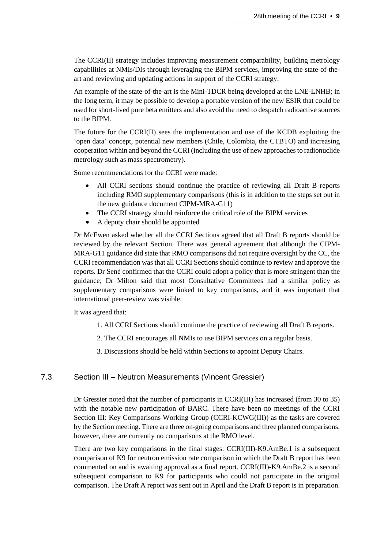The CCRI(II) strategy includes improving measurement comparability, building metrology capabilities at NMIs/DIs through leveraging the BIPM services, improving the state-of-theart and reviewing and updating actions in support of the CCRI strategy.

An example of the state-of-the-art is the Mini-TDCR being developed at the LNE-LNHB; in the long term, it may be possible to develop a portable version of the new ESIR that could be used for short-lived pure beta emitters and also avoid the need to despatch radioactive sources to the BIPM.

The future for the CCRI(II) sees the implementation and use of the KCDB exploiting the 'open data' concept, potential new members (Chile, Colombia, the CTBTO) and increasing cooperation within and beyond the CCRI (including the use of new approaches to radionuclide metrology such as mass spectrometry).

Some recommendations for the CCRI were made:

- All CCRI sections should continue the practice of reviewing all Draft B reports including RMO supplementary comparisons (this is in addition to the steps set out in the new guidance document CIPM-MRA-G11)
- The CCRI strategy should reinforce the critical role of the BIPM services
- A deputy chair should be appointed

Dr McEwen asked whether all the CCRI Sections agreed that all Draft B reports should be reviewed by the relevant Section. There was general agreement that although the CIPM-MRA-G11 guidance did state that RMO comparisons did not require oversight by the CC, the CCRI recommendation was that all CCRI Sections should continue to review and approve the reports. Dr Sené confirmed that the CCRI could adopt a policy that is more stringent than the guidance; Dr Milton said that most Consultative Committees had a similar policy as supplementary comparisons were linked to key comparisons, and it was important that international peer-review was visible.

It was agreed that:

- 1. All CCRI Sections should continue the practice of reviewing all Draft B reports.
- 2. The CCRI encourages all NMIs to use BIPM services on a regular basis.
- 3. Discussions should be held within Sections to appoint Deputy Chairs.

#### 7.3. Section III – Neutron Measurements (Vincent Gressier)

Dr Gressier noted that the number of participants in CCRI(III) has increased (from 30 to 35) with the notable new participation of BARC. There have been no meetings of the CCRI Section III: Key Comparisons Working Group (CCRI-KCWG(III)) as the tasks are covered by the Section meeting. There are three on-going comparisons and three planned comparisons, however, there are currently no comparisons at the RMO level.

There are two key comparisons in the final stages: CCRI(III)-K9.AmBe.1 is a subsequent comparison of K9 for neutron emission rate comparison in which the Draft B report has been commented on and is awaiting approval as a final report. CCRI(III)-K9.AmBe.2 is a second subsequent comparison to K9 for participants who could not participate in the original comparison. The Draft A report was sent out in April and the Draft B report is in preparation.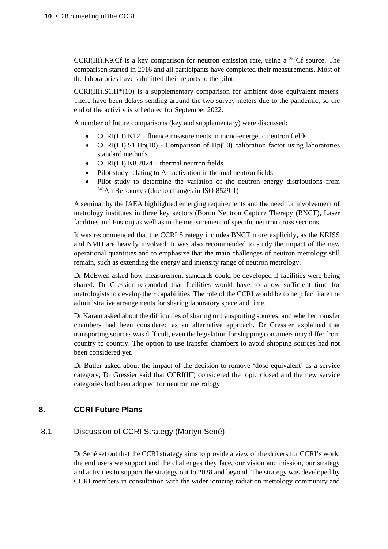CCRI(III).K9.Cf is a key comparison for neutron emission rate, using a <sup>252</sup>Cf source. The comparison started in 2016 and all participants have completed their measurements. Most of the laboratories have submitted their reports to the pilot.

CCRI(III).S1.H\*(10) is a supplementary comparison for ambient dose equivalent meters. There have been delays sending around the two survey-meters due to the pandemic, so the end of the activity is scheduled for September 2022.

A number of future comparisons (key and supplementary) were discussed:

- CCRI(III).K12 fluence measurements in mono-energetic neutron fields
- CCRI(III).S1.Hp(10) Comparison of Hp(10) calibration factor using laboratories standard methods
- CCRI(III).K8.2024 thermal neutron fields
- Pilot study relating to Au-activation in thermal neutron fields
- Pilot study to determine the variation of the neutron energy distributions from 241AmBe sources (due to changes in ISO-8529-1)

A seminar by the IAEA highlighted emerging requirements and the need for involvement of metrology institutes in three key sectors (Boron Neutron Capture Therapy (BNCT), Laser facilities and Fusion) as well as in the measurement of specific neutron cross sections.

It was recommended that the CCRI Strategy includes BNCT more explicitly, as the KRISS and NMIJ are heavily involved. It was also recommended to study the impact of the new operational quantities and to emphasize that the main challenges of neutron metrology still remain, such as extending the energy and intensity range of neutron metrology.

Dr McEwen asked how measurement standards could be developed if facilities were being shared. Dr Gressier responded that facilities would have to allow sufficient time for metrologists to develop their capabilities. The role of the CCRI would be to help facilitate the administrative arrangements for sharing laboratory space and time.

Dr Karam asked about the difficulties of sharing or transporting sources, and whether transfer chambers had been considered as an alternative approach. Dr Gressier explained that transporting sources was difficult, even the legislation for shipping containers may differ from country to country. The option to use transfer chambers to avoid shipping sources had not been considered yet.

Dr Butler asked about the impact of the decision to remove 'dose equivalent' as a service category; Dr Gressier said that CCRI(III) considered the topic closed and the new service categories had been adopted for neutron metrology.

#### **8. CCRI Future Plans**

#### 8.1. Discussion of CCRI Strategy (Martyn Sené)

Dr Sené set out that the CCRI strategy aims to provide a view of the drivers for CCRI's work, the end users we support and the challenges they face, our vision and mission, our strategy and activities to support the strategy out to 2028 and beyond. The strategy was developed by CCRI members in consultation with the wider ionizing radiation metrology community and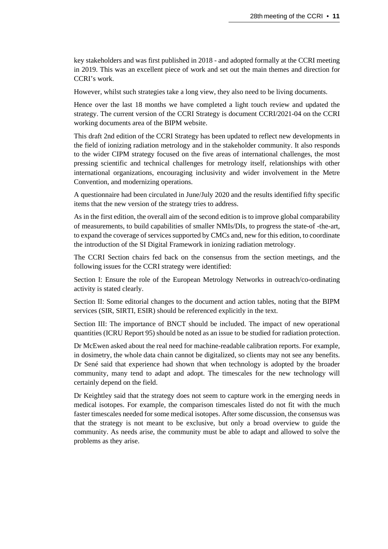key stakeholders and was first published in 2018 - and adopted formally at the CCRI meeting in 2019. This was an excellent piece of work and set out the main themes and direction for CCRI's work.

However, whilst such strategies take a long view, they also need to be living documents.

Hence over the last 18 months we have completed a light touch review and updated the strategy. The current version of the CCRI Strategy is document CCRI/2021-04 on the CCRI working documents area of the BIPM website.

This draft 2nd edition of the CCRI Strategy has been updated to reflect new developments in the field of ionizing radiation metrology and in the stakeholder community. It also responds to the wider CIPM strategy focused on the five areas of international challenges, the most pressing scientific and technical challenges for metrology itself, relationships with other international organizations, encouraging inclusivity and wider involvement in the Metre Convention, and modernizing operations.

A questionnaire had been circulated in June/July 2020 and the results identified fifty specific items that the new version of the strategy tries to address.

As in the first edition, the overall aim of the second edition is to improve global comparability of measurements, to build capabilities of smaller NMIs/DIs, to progress the state-of -the-art, to expand the coverage of services supported by CMCs and, new for this edition, to coordinate the introduction of the SI Digital Framework in ionizing radiation metrology.

The CCRI Section chairs fed back on the consensus from the section meetings, and the following issues for the CCRI strategy were identified:

Section I: Ensure the role of the European Metrology Networks in outreach/co-ordinating activity is stated clearly.

Section II: Some editorial changes to the document and action tables, noting that the BIPM services (SIR, SIRTI, ESIR) should be referenced explicitly in the text.

Section III: The importance of BNCT should be included. The impact of new operational quantities (ICRU Report 95) should be noted as an issue to be studied for radiation protection.

Dr McEwen asked about the real need for machine-readable calibration reports. For example, in dosimetry, the whole data chain cannot be digitalized, so clients may not see any benefits. Dr Sené said that experience had shown that when technology is adopted by the broader community, many tend to adapt and adopt. The timescales for the new technology will certainly depend on the field.

Dr Keightley said that the strategy does not seem to capture work in the emerging needs in medical isotopes. For example, the comparison timescales listed do not fit with the much faster timescales needed for some medical isotopes. After some discussion, the consensus was that the strategy is not meant to be exclusive, but only a broad overview to guide the community. As needs arise, the community must be able to adapt and allowed to solve the problems as they arise.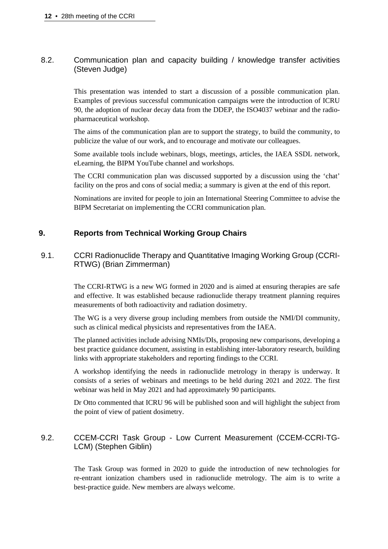#### 8.2. Communication plan and capacity building / knowledge transfer activities (Steven Judge)

This presentation was intended to start a discussion of a possible communication plan. Examples of previous successful communication campaigns were the introduction of ICRU 90, the adoption of nuclear decay data from the DDEP, the ISO4037 webinar and the radiopharmaceutical workshop.

The aims of the communication plan are to support the strategy, to build the community, to publicize the value of our work, and to encourage and motivate our colleagues.

Some available tools include webinars, blogs, meetings, articles, the IAEA SSDL network, eLearning, the BIPM YouTube channel and workshops.

The CCRI communication plan was discussed supported by a discussion using the 'chat' facility on the pros and cons of social media; a summary is given at the end of this report.

Nominations are invited for people to join an International Steering Committee to advise the BIPM Secretariat on implementing the CCRI communication plan.

## **9. Reports from Technical Working Group Chairs**

## 9.1. CCRI Radionuclide Therapy and Quantitative Imaging Working Group (CCRI-RTWG) (Brian Zimmerman)

The CCRI-RTWG is a new WG formed in 2020 and is aimed at ensuring therapies are safe and effective. It was established because radionuclide therapy treatment planning requires measurements of both radioactivity and radiation dosimetry.

The WG is a very diverse group including members from outside the NMI/DI community, such as clinical medical physicists and representatives from the IAEA.

The planned activities include advising NMIs/DIs, proposing new comparisons, developing a best practice guidance document, assisting in establishing inter-laboratory research, building links with appropriate stakeholders and reporting findings to the CCRI.

A workshop identifying the needs in radionuclide metrology in therapy is underway. It consists of a series of webinars and meetings to be held during 2021 and 2022. The first webinar was held in May 2021 and had approximately 90 participants.

Dr Otto commented that ICRU 96 will be published soon and will highlight the subject from the point of view of patient dosimetry.

#### 9.2. CCEM-CCRI Task Group - Low Current Measurement (CCEM-CCRI-TG-LCM) (Stephen Giblin)

The Task Group was formed in 2020 to guide the introduction of new technologies for re-entrant ionization chambers used in radionuclide metrology. The aim is to write a best-practice guide. New members are always welcome.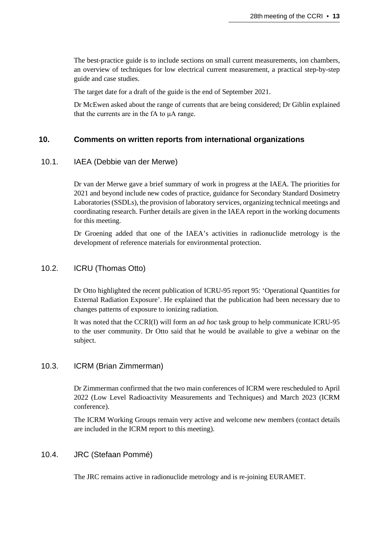The best-practice guide is to include sections on small current measurements, ion chambers, an overview of techniques for low electrical current measurement, a practical step-by-step guide and case studies.

The target date for a draft of the guide is the end of September 2021.

Dr McEwen asked about the range of currents that are being considered; Dr Giblin explained that the currents are in the fA to μA range.

#### **10. Comments on written reports from international organizations**

#### 10.1. IAEA (Debbie van der Merwe)

Dr van der Merwe gave a brief summary of work in progress at the IAEA. The priorities for 2021 and beyond include new codes of practice, guidance for Secondary Standard Dosimetry Laboratories (SSDLs), the provision of laboratory services, organizing technical meetings and coordinating research. Further details are given in the IAEA report in the working documents for this meeting.

Dr Groening added that one of the IAEA's activities in radionuclide metrology is the development of reference materials for environmental protection.

#### 10.2. ICRU (Thomas Otto)

Dr Otto highlighted the recent publication of ICRU-95 report 95: 'Operational Quantities for External Radiation Exposure'. He explained that the publication had been necessary due to changes patterns of exposure to ionizing radiation.

It was noted that the CCRI(I) will form an *ad hoc* task group to help communicate ICRU-95 to the user community. Dr Otto said that he would be available to give a webinar on the subject.

#### 10.3. ICRM (Brian Zimmerman)

Dr Zimmerman confirmed that the two main conferences of ICRM were rescheduled to April 2022 (Low Level Radioactivity Measurements and Techniques) and March 2023 (ICRM conference).

The ICRM Working Groups remain very active and welcome new members (contact details are included in the ICRM report to this meeting).

#### 10.4. JRC (Stefaan Pommé)

The JRC remains active in radionuclide metrology and is re-joining EURAMET.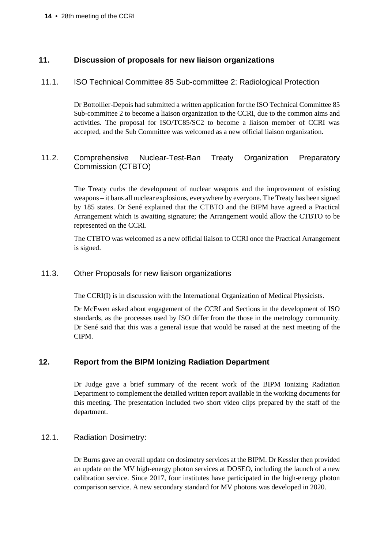#### **11. Discussion of proposals for new liaison organizations**

#### 11.1. ISO Technical Committee 85 Sub-committee 2: Radiological Protection

Dr Bottollier-Depois had submitted a written application for the ISO Technical Committee 85 Sub-committee 2 to become a liaison organization to the CCRI, due to the common aims and activities. The proposal for ISO/TC85/SC2 to become a liaison member of CCRI was accepted, and the Sub Committee was welcomed as a new official liaison organization.

## 11.2. Comprehensive Nuclear-Test-Ban Treaty Organization Preparatory Commission (CTBTO)

The Treaty curbs the development of nuclear weapons and the improvement of existing weapons – it bans all nuclear explosions, everywhere by everyone. The Treaty has been signed by 185 states. Dr Sené explained that the CTBTO and the BIPM have agreed a Practical Arrangement which is awaiting signature; the Arrangement would allow the CTBTO to be represented on the CCRI.

The CTBTO was welcomed as a new official liaison to CCRI once the Practical Arrangement is signed.

#### 11.3. Other Proposals for new liaison organizations

The CCRI(I) is in discussion with the International Organization of Medical Physicists.

Dr McEwen asked about engagement of the CCRI and Sections in the development of ISO standards, as the processes used by ISO differ from the those in the metrology community. Dr Sené said that this was a general issue that would be raised at the next meeting of the CIPM.

#### **12. Report from the BIPM Ionizing Radiation Department**

Dr Judge gave a brief summary of the recent work of the BIPM Ionizing Radiation Department to complement the detailed written report available in the working documents for this meeting. The presentation included two short video clips prepared by the staff of the department.

#### 12.1. Radiation Dosimetry:

Dr Burns gave an overall update on dosimetry services at the BIPM. Dr Kessler then provided an update on the MV high-energy photon services at DOSEO, including the launch of a new calibration service. Since 2017, four institutes have participated in the high-energy photon comparison service. A new secondary standard for MV photons was developed in 2020.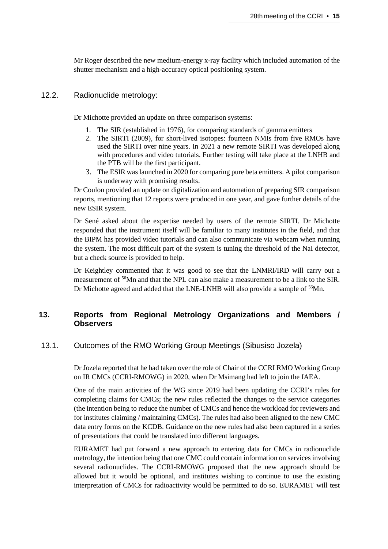Mr Roger described the new medium-energy x-ray facility which included automation of the shutter mechanism and a high-accuracy optical positioning system.

#### 12.2. Radionuclide metrology:

Dr Michotte provided an update on three comparison systems:

- 1. The SIR (established in 1976), for comparing standards of gamma emitters
- 2. The SIRTI (2009), for short-lived isotopes: fourteen NMIs from five RMOs have used the SIRTI over nine years. In 2021 a new remote SIRTI was developed along with procedures and video tutorials. Further testing will take place at the LNHB and the PTB will be the first participant.
- 3. The ESIR was launched in 2020 for comparing pure beta emitters. A pilot comparison is underway with promising results.

Dr Coulon provided an update on digitalization and automation of preparing SIR comparison reports, mentioning that 12 reports were produced in one year, and gave further details of the new ESIR system.

Dr Sené asked about the expertise needed by users of the remote SIRTI. Dr Michotte responded that the instrument itself will be familiar to many institutes in the field, and that the BIPM has provided video tutorials and can also communicate via webcam when running the system. The most difficult part of the system is tuning the threshold of the NaI detector, but a check source is provided to help.

Dr Keightley commented that it was good to see that the LNMRI/IRD will carry out a measurement of 56Mn and that the NPL can also make a measurement to be a link to the SIR. Dr Michotte agreed and added that the LNE-LNHB will also provide a sample of  $56$ Mn.

## **13. Reports from Regional Metrology Organizations and Members / Observers**

## 13.1. Outcomes of the RMO Working Group Meetings (Sibusiso Jozela)

Dr Jozela reported that he had taken over the role of Chair of the CCRI RMO Working Group on IR CMCs (CCRI-RMOWG) in 2020, when Dr Msimang had left to join the IAEA.

One of the main activities of the WG since 2019 had been updating the CCRI's rules for completing claims for CMCs; the new rules reflected the changes to the service categories (the intention being to reduce the number of CMCs and hence the workload for reviewers and for institutes claiming / maintaining CMCs). The rules had also been aligned to the new CMC data entry forms on the KCDB. Guidance on the new rules had also been captured in a series of presentations that could be translated into different languages.

EURAMET had put forward a new approach to entering data for CMCs in radionuclide metrology, the intention being that one CMC could contain information on services involving several radionuclides. The CCRI-RMOWG proposed that the new approach should be allowed but it would be optional, and institutes wishing to continue to use the existing interpretation of CMCs for radioactivity would be permitted to do so. EURAMET will test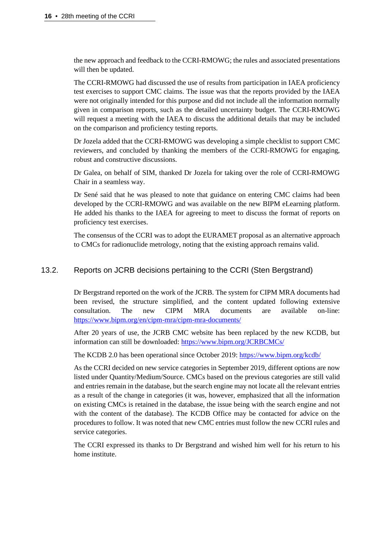the new approach and feedback to the CCRI-RMOWG; the rules and associated presentations will then be updated.

The CCRI-RMOWG had discussed the use of results from participation in IAEA proficiency test exercises to support CMC claims. The issue was that the reports provided by the IAEA were not originally intended for this purpose and did not include all the information normally given in comparison reports, such as the detailed uncertainty budget. The CCRI-RMOWG will request a meeting with the IAEA to discuss the additional details that may be included on the comparison and proficiency testing reports.

Dr Jozela added that the CCRI-RMOWG was developing a simple checklist to support CMC reviewers, and concluded by thanking the members of the CCRI-RMOWG for engaging, robust and constructive discussions.

Dr Galea, on behalf of SIM, thanked Dr Jozela for taking over the role of CCRI-RMOWG Chair in a seamless way.

Dr Sené said that he was pleased to note that guidance on entering CMC claims had been developed by the CCRI-RMOWG and was available on the new BIPM eLearning platform. He added his thanks to the IAEA for agreeing to meet to discuss the format of reports on proficiency test exercises.

The consensus of the CCRI was to adopt the EURAMET proposal as an alternative approach to CMCs for radionuclide metrology, noting that the existing approach remains valid.

#### 13.2. Reports on JCRB decisions pertaining to the CCRI (Sten Bergstrand)

Dr Bergstrand reported on the work of the JCRB. The system for CIPM MRA documents had been revised, the structure simplified, and the content updated following extensive consultation. The new CIPM MRA documents are available on-line: <https://www.bipm.org/en/cipm-mra/cipm-mra-documents/>

After 20 years of use, the JCRB CMC website has been replaced by the new KCDB, but information can still be downloaded:<https://www.bipm.org/JCRBCMCs/>

The KCDB 2.0 has been operational since October 2019:<https://www.bipm.org/kcdb/>

As the CCRI decided on new service categories in September 2019, different options are now listed under Quantity/Medium/Source. CMCs based on the previous categories are still valid and entries remain in the database, but the search engine may not locate all the relevant entries as a result of the change in categories (it was, however, emphasized that all the information on existing CMCs is retained in the database, the issue being with the search engine and not with the content of the database). The KCDB Office may be contacted for advice on the procedures to follow. It was noted that new CMC entries must follow the new CCRI rules and service categories.

The CCRI expressed its thanks to Dr Bergstrand and wished him well for his return to his home institute.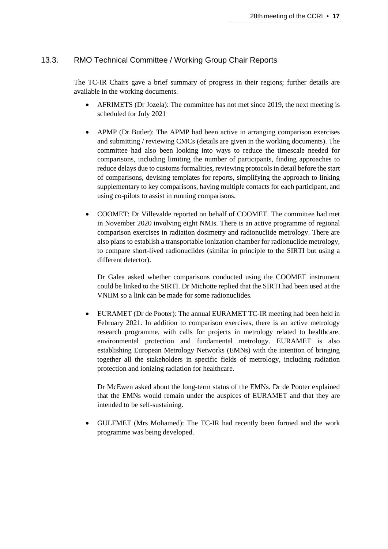## 13.3. RMO Technical Committee / Working Group Chair Reports

The TC-IR Chairs gave a brief summary of progress in their regions; further details are available in the working documents.

- AFRIMETS (Dr Jozela): The committee has not met since 2019, the next meeting is scheduled for July 2021
- APMP (Dr Butler): The APMP had been active in arranging comparison exercises and submitting / reviewing CMCs (details are given in the working documents). The committee had also been looking into ways to reduce the timescale needed for comparisons, including limiting the number of participants, finding approaches to reduce delays due to customs formalities, reviewing protocols in detail before the start of comparisons, devising templates for reports, simplifying the approach to linking supplementary to key comparisons, having multiple contacts for each participant, and using co-pilots to assist in running comparisons.
- COOMET: Dr Villevalde reported on behalf of COOMET. The committee had met in November 2020 involving eight NMIs. There is an active programme of regional comparison exercises in radiation dosimetry and radionuclide metrology. There are also plans to establish a transportable ionization chamber for radionuclide metrology, to compare short-lived radionuclides (similar in principle to the SIRTI but using a different detector).

Dr Galea asked whether comparisons conducted using the COOMET instrument could be linked to the SIRTI. Dr Michotte replied that the SIRTI had been used at the VNIIM so a link can be made for some radionuclides.

• EURAMET (Dr de Pooter): The annual EURAMET TC-IR meeting had been held in February 2021. In addition to comparison exercises, there is an active metrology research programme, with calls for projects in metrology related to healthcare, environmental protection and fundamental metrology. EURAMET is also establishing European Metrology Networks (EMNs) with the intention of bringing together all the stakeholders in specific fields of metrology, including radiation protection and ionizing radiation for healthcare.

Dr McEwen asked about the long-term status of the EMNs. Dr de Pooter explained that the EMNs would remain under the auspices of EURAMET and that they are intended to be self-sustaining.

• GULFMET (Mrs Mohamed): The TC-IR had recently been formed and the work programme was being developed.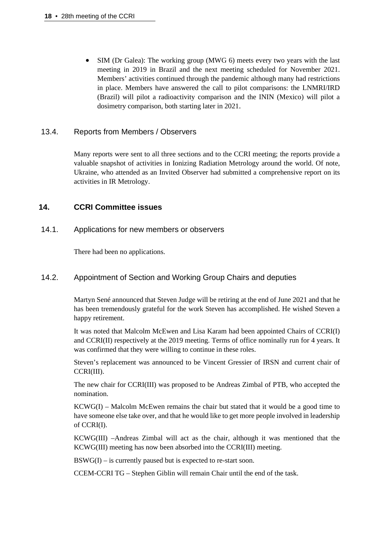SIM (Dr Galea): The working group (MWG 6) meets every two years with the last meeting in 2019 in Brazil and the next meeting scheduled for November 2021. Members' activities continued through the pandemic although many had restrictions in place. Members have answered the call to pilot comparisons: the LNMRI/IRD (Brazil) will pilot a radioactivity comparison and the ININ (Mexico) will pilot a dosimetry comparison, both starting later in 2021.

#### 13.4. Reports from Members / Observers

Many reports were sent to all three sections and to the CCRI meeting; the reports provide a valuable snapshot of activities in Ionizing Radiation Metrology around the world. Of note, Ukraine, who attended as an Invited Observer had submitted a comprehensive report on its activities in IR Metrology.

#### **14. CCRI Committee issues**

14.1. Applications for new members or observers

There had been no applications.

#### 14.2. Appointment of Section and Working Group Chairs and deputies

Martyn Sené announced that Steven Judge will be retiring at the end of June 2021 and that he has been tremendously grateful for the work Steven has accomplished. He wished Steven a happy retirement.

It was noted that Malcolm McEwen and Lisa Karam had been appointed Chairs of CCRI(I) and CCRI(II) respectively at the 2019 meeting. Terms of office nominally run for 4 years. It was confirmed that they were willing to continue in these roles.

Steven's replacement was announced to be Vincent Gressier of IRSN and current chair of CCRI(III).

The new chair for CCRI(III) was proposed to be Andreas Zimbal of PTB, who accepted the nomination.

 $KCWG(I) - Malcolm McEwen remains the chair but stated that it would be a good time to$ have someone else take over, and that he would like to get more people involved in leadership of CCRI(I).

KCWG(III) –Andreas Zimbal will act as the chair, although it was mentioned that the KCWG(III) meeting has now been absorbed into the CCRI(III) meeting.

 $BSWG(I) - is currently passed but is expected to re-start soon.$ 

CCEM-CCRI TG – Stephen Giblin will remain Chair until the end of the task.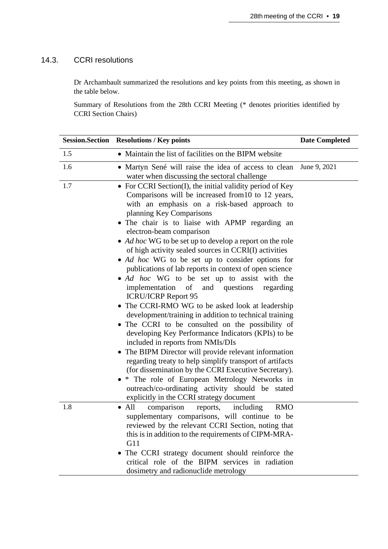#### 14.3. CCRI resolutions

Dr Archambault summarized the resolutions and key points from this meeting, as shown in the table below.

Summary of Resolutions from the 28th CCRI Meeting (\* denotes priorities identified by CCRI Section Chairs)

|     | <b>Session.Section Resolutions / Key points</b>                                                                                                                                                                                                                                                                                                                                                                                                                                                                                                                                                                                                                                                                                                                                                                                                                                                                                                                                                                                                                                                                                                                                                                                                    | <b>Date Completed</b> |
|-----|----------------------------------------------------------------------------------------------------------------------------------------------------------------------------------------------------------------------------------------------------------------------------------------------------------------------------------------------------------------------------------------------------------------------------------------------------------------------------------------------------------------------------------------------------------------------------------------------------------------------------------------------------------------------------------------------------------------------------------------------------------------------------------------------------------------------------------------------------------------------------------------------------------------------------------------------------------------------------------------------------------------------------------------------------------------------------------------------------------------------------------------------------------------------------------------------------------------------------------------------------|-----------------------|
| 1.5 | • Maintain the list of facilities on the BIPM website                                                                                                                                                                                                                                                                                                                                                                                                                                                                                                                                                                                                                                                                                                                                                                                                                                                                                                                                                                                                                                                                                                                                                                                              |                       |
| 1.6 | • Martyn Sené will raise the idea of access to clean<br>water when discussing the sectoral challenge                                                                                                                                                                                                                                                                                                                                                                                                                                                                                                                                                                                                                                                                                                                                                                                                                                                                                                                                                                                                                                                                                                                                               | June 9, 2021          |
| 1.7 | • For CCRI Section(I), the initial validity period of Key<br>Comparisons will be increased from 10 to 12 years,<br>with an emphasis on a risk-based approach to<br>planning Key Comparisons<br>• The chair is to liaise with APMP regarding an<br>electron-beam comparison<br>• Ad hoc WG to be set up to develop a report on the role<br>of high activity sealed sources in CCRI(I) activities<br>• Ad hoc WG to be set up to consider options for<br>publications of lab reports in context of open science<br>• Ad hoc WG to be set up to assist with the<br>implementation<br>$\sigma$<br>and questions<br>regarding<br><b>ICRU/ICRP Report 95</b><br>• The CCRI-RMO WG to be asked look at leadership<br>development/training in addition to technical training<br>• The CCRI to be consulted on the possibility of<br>developing Key Performance Indicators (KPIs) to be<br>included in reports from NMIs/DIs<br>• The BIPM Director will provide relevant information<br>regarding treaty to help simplify transport of artifacts<br>(for dissemination by the CCRI Executive Secretary).<br>• * The role of European Metrology Networks in<br>outreach/co-ordinating activity should be stated<br>explicitly in the CCRI strategy document |                       |
| 1.8 | comparison<br>$\bullet$ All<br>reports,<br>including<br><b>RMO</b><br>supplementary comparisons, will continue to be<br>reviewed by the relevant CCRI Section, noting that<br>this is in addition to the requirements of CIPM-MRA-<br>G11<br>• The CCRI strategy document should reinforce the<br>critical role of the BIPM services in radiation<br>dosimetry and radionuclide metrology                                                                                                                                                                                                                                                                                                                                                                                                                                                                                                                                                                                                                                                                                                                                                                                                                                                          |                       |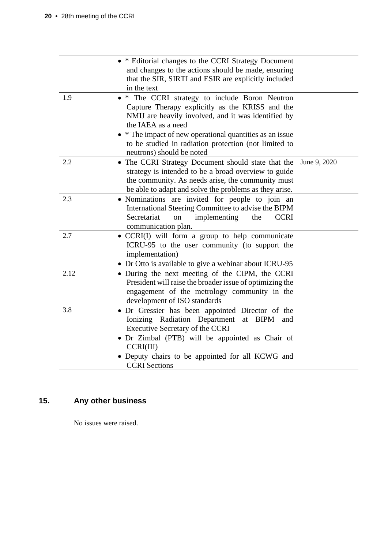|      | • * Editorial changes to the CCRI Strategy Document<br>and changes to the actions should be made, ensuring                                                                                  |              |
|------|---------------------------------------------------------------------------------------------------------------------------------------------------------------------------------------------|--------------|
|      | that the SIR, SIRTI and ESIR are explicitly included<br>in the text                                                                                                                         |              |
| 1.9  | * The CCRI strategy to include Boron Neutron<br>Capture Therapy explicitly as the KRISS and the                                                                                             |              |
|      | NMIJ are heavily involved, and it was identified by<br>the IAEA as a need                                                                                                                   |              |
|      | * The impact of new operational quantities as an issue<br>to be studied in radiation protection (not limited to                                                                             |              |
|      | neutrons) should be noted                                                                                                                                                                   |              |
| 2.2  | • The CCRI Strategy Document should state that the<br>strategy is intended to be a broad overview to guide<br>the community. As needs arise, the community must                             | June 9, 2020 |
|      | be able to adapt and solve the problems as they arise.                                                                                                                                      |              |
| 2.3  | • Nominations are invited for people to join an<br>International Steering Committee to advise the BIPM<br>Secretariat<br>implementing<br>the<br><b>CCRI</b><br>on                           |              |
|      | communication plan.                                                                                                                                                                         |              |
| 2.7  | • CCRI(I) will form a group to help communicate<br>ICRU-95 to the user community (to support the<br>implementation)                                                                         |              |
|      | • Dr Otto is available to give a webinar about ICRU-95                                                                                                                                      |              |
| 2.12 | • During the next meeting of the CIPM, the CCRI<br>President will raise the broader issue of optimizing the<br>engagement of the metrology community in the<br>development of ISO standards |              |
| 3.8  | • Dr Gressier has been appointed Director of the<br>Ionizing Radiation Department<br>at BIPM<br>and<br>Executive Secretary of the CCRI                                                      |              |
|      | • Dr Zimbal (PTB) will be appointed as Chair of<br>CCRI(III)                                                                                                                                |              |
|      | • Deputy chairs to be appointed for all KCWG and<br><b>CCRI</b> Sections                                                                                                                    |              |

# **15. Any other business**

No issues were raised.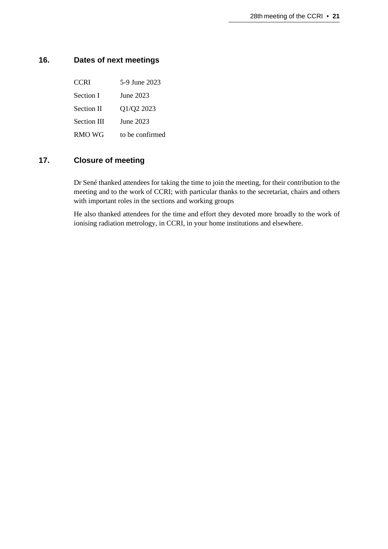## **16. Dates of next meetings**

| June 2023<br>Section I<br>Q1/Q2 2023<br><b>Section II</b><br><b>Section III</b><br>June 2023<br>RMO WG<br>to be confirmed | <b>CCRI</b> | 5-9 June 2023 |
|---------------------------------------------------------------------------------------------------------------------------|-------------|---------------|
|                                                                                                                           |             |               |
|                                                                                                                           |             |               |
|                                                                                                                           |             |               |
|                                                                                                                           |             |               |

## **17. Closure of meeting**

Dr Sené thanked attendees for taking the time to join the meeting, for their contribution to the meeting and to the work of CCRI; with particular thanks to the secretariat, chairs and others with important roles in the sections and working groups

He also thanked attendees for the time and effort they devoted more broadly to the work of ionising radiation metrology, in CCRI, in your home institutions and elsewhere.